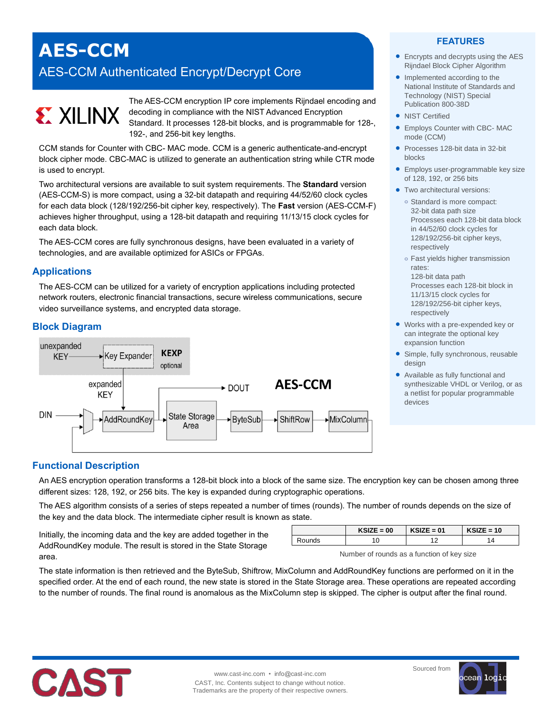## **AES-CCM**

### AES-CCM Authenticated Encrypt/Decrypt Core

# **EXALLINX**

The AES-CCM encryption IP core implements Rijndael encoding and decoding in compliance with the NIST Advanced Encryption Standard. It processes 128-bit blocks, and is programmable for 128-, 192-, and 256-bit key lengths.

CCM stands for Counter with CBC- MAC mode. CCM is a generic authenticate-and-encrypt block cipher mode. CBC-MAC is utilized to generate an authentication string while CTR mode is used to encrypt.

Two architectural versions are available to suit system requirements. The **Standard** version (AES-CCM-S) is more compact, using a 32-bit datapath and requiring 44/52/60 clock cycles for each data block (128/192/256-bit cipher key, respectively). The **Fast** version (AES-CCM-F) achieves higher throughput, using a 128-bit datapath and requiring 11/13/15 clock cycles for each data block.

The AES-CCM cores are fully synchronous designs, have been evaluated in a variety of technologies, and are available optimized for ASICs or FPGAs.

#### **Applications**

The AES-CCM can be utilized for a variety of encryption applications including protected network routers, electronic financial transactions, secure wireless communications, secure video surveillance systems, and encrypted data storage.

#### **Block Diagram**



#### **FEATURES**

- Encrypts and decrypts using the AES Rijndael Block Cipher Algorithm
- Implemented according to the National Institute of Standards and Technology (NIST) Special Publication 800-38D
- NIST Certified
- Employs Counter with CBC- MAC mode (CCM)
- Processes 128-bit data in 32-bit blocks
- **Employs user-programmable key size** of 128, 192, or 256 bits
- **•** Two architectural versions:
	- **o** Standard is more compact: 32-bit data path size Processes each 128-bit data block in 44/52/60 clock cycles for 128/192/256-bit cipher keys, respectively
	- **o** Fast yields higher transmission rates: 128-bit data path
		- Processes each 128-bit block in 11/13/15 clock cycles for 128/192/256-bit cipher keys, respectively
- Works with a pre-expended key or can integrate the optional key expansion function
- Simple, fully synchronous, reusable design
- Available as fully functional and synthesizable VHDL or Verilog, or as a netlist for popular programmable devices

#### **Functional Description**

An AES encryption operation transforms a 128-bit block into a block of the same size. The encryption key can be chosen among three different sizes: 128, 192, or 256 bits. The key is expanded during cryptographic operations.

The AES algorithm consists of a series of steps repeated a number of times (rounds). The number of rounds depends on the size of the key and the data block. The intermediate cipher result is known as state.

Initially, the incoming data and the key are added together in the AddRoundKey module. The result is stored in the State Storage area.

|        | $KSIZE = 00$ | $KSIZE = 01$ | $KSIZE = 10$ |
|--------|--------------|--------------|--------------|
| Rounds |              |              |              |

Number of rounds as a function of key size

The state information is then retrieved and the ByteSub, Shiftrow, MixColumn and AddRoundKey functions are performed on it in the specified order. At the end of each round, the new state is stored in the State Storage area. These operations are repeated according to the number of rounds. The final round is anomalous as the MixColumn step is skipped. The cipher is output after the final round.